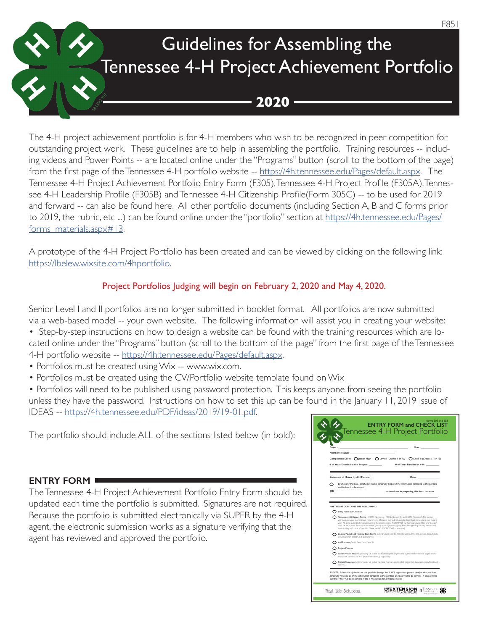# Guidelines for Assembling the Tennessee 4-H Project Achievement Portfolio

## **2020**

The 4-H project achievement portfolio is for 4-H members who wish to be recognized in peer competition for outstanding project work. These guidelines are to help in assembling the portfolio. Training resources -- including videos and Power Points -- are located online under the "Programs" button (scroll to the bottom of the page) from the first page of the Tennessee 4-H portfolio website -- https://4h.tennessee.edu/Pages/default.aspx. The Tennessee 4-H Project Achievement Portfolio Entry Form (F305), Tennessee 4-H Project Profile (F305A), Tennessee 4-H Leadership Profile (F305B) and Tennessee 4-H Citizenship Profile(Form 305C) -- to be used for 2019 and forward -- can also be found here. All other portfolio documents (including Section A, B and C forms prior to 2019, the rubric, etc ...) can be found online under the "portfolio" section at https://4h.tennessee.edu/Pages/ forms\_materials.aspx#13.

A prototype of the 4-H Project Portfolio has been created and can be viewed by clicking on the following link: https://lbelew.wixsite.com/4hportfolio.

## Project Portfolios Judging will begin on February 2, 2020 and May 4, 2020.

Senior Level I and II portfolios are no longer submitted in booklet format. All portfolios are now submitted via a web-based model -- your own website. The following information will assist you in creating your website:

• Step-by-step instructions on how to design a website can be found with the training resources which are located online under the "Programs" button (scroll to the bottom of the page" from the first page of the Tennessee 4-H portfolio website -- https://4h.tennessee.edu/Pages/default.aspx.

- Portfolios must be created using Wix -- www.wix.com.
- Portfolios must be created using the CV/Portfolio website template found on Wix

• Portfolios will need to be published using password protection. This keeps anyone from seeing the portfolio unless they have the password. Instructions on how to set this up can be found in the January 11, 2019 issue of IDEAS -- https://4h.tennessee.edu/PDF/ideas/2019/19-01.pdf.

The portfolio should include ALL of the sections listed below (in bold):

## **ENTRY FORM**

The Tennessee 4-H Project Achievement Portfolio Entry Form should be updated each time the portfolio is submitted. Signatures are not required. Because the portfolio is submitted electronically via SUPER by the 4-H agent, the electronic submission works as a signature verifying that the agent has reviewed and approved the portfolio.

|    | Member's Name:                                                                                                                                                                                                                                                                                                                                                                                                                                                                                                                                  |
|----|-------------------------------------------------------------------------------------------------------------------------------------------------------------------------------------------------------------------------------------------------------------------------------------------------------------------------------------------------------------------------------------------------------------------------------------------------------------------------------------------------------------------------------------------------|
|    | Competition Level: $\bigcap$ Junior High $\bigcap$ Level I (Grades 9 or 10) $\bigcap$ Level II (Grades 11 or 12)                                                                                                                                                                                                                                                                                                                                                                                                                                |
|    | # of Years Enrolled in this Project: ___________ # of Years Enrolled in 4-H: _______                                                                                                                                                                                                                                                                                                                                                                                                                                                            |
|    | Statement of Honor by 4-H Member:<br>Date:                                                                                                                                                                                                                                                                                                                                                                                                                                                                                                      |
| OR | By checking this bax, I certify that I have personally prepared the information contained in this portfolio<br>and believe it to be correct.<br>assisted me in preparing this form because                                                                                                                                                                                                                                                                                                                                                      |
|    | PORTEOLIO CONTAINS THE FOLLOWING:<br>Entry Form and Checklist                                                                                                                                                                                                                                                                                                                                                                                                                                                                                   |
|    | Tennessee 4-H Report Forms -- F305A (Section A); F305B (Section B); and F305C (Section C); The current<br>year plus one year is a minimum requirement. Members may submit records dating back three years, plus current<br>year. All forms submitted must correlate to the same project. IMPORTANT: All forms for years 2019 and forward<br>must be the current forms with no double spacing or manipulation of any kind. Disregarding this requirement will<br>result in disqualification of portfolio. There are NO EXCEPTIONS to this rule.) |
|    | Looking Ahead and Thinking Back Forms (only for years prior to 2019; for years 2019 and forward project plans<br>are included on Section A B and C forms)                                                                                                                                                                                                                                                                                                                                                                                       |
|    | 4-H Resume (Senior Level I and Level II)                                                                                                                                                                                                                                                                                                                                                                                                                                                                                                        |
|    | <b>Project Pictures</b>                                                                                                                                                                                                                                                                                                                                                                                                                                                                                                                         |
|    | Other Project Pecords (including up to but not exceeding ten, single-sided, supplemental-material pages and/or<br>links which may include 4-H project worksheet, if applicable)                                                                                                                                                                                                                                                                                                                                                                 |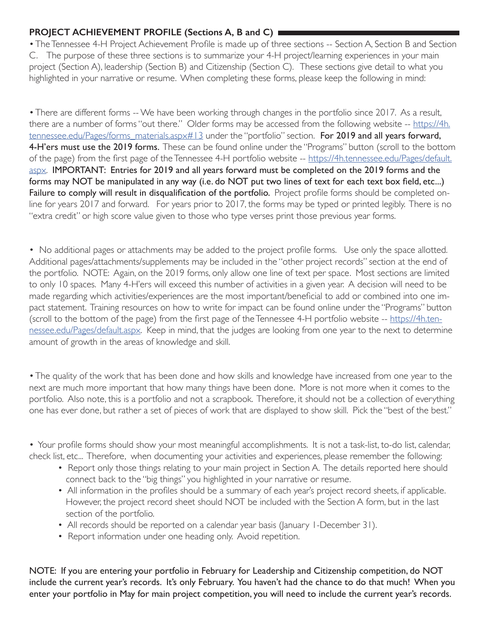## **PROJECT ACHIEVEMENT PROFILE (Sections A, B and C)**

• The Tennessee 4-H Project Achievement Profile is made up of three sections -- Section A, Section B and Section C. The purpose of these three sections is to summarize your 4-H project/learning experiences in your main project (Section A), leadership (Section B) and Citizenship (Section C). These sections give detail to what you highlighted in your narrative or resume. When completing these forms, please keep the following in mind:

• There are different forms -- We have been working through changes in the portfolio since 2017. As a result, there are a number of forms "out there." Older forms may be accessed from the following website -- https://4h. tennessee.edu/Pages/forms\_materials.aspx#13 under the "portfolio" section. For 2019 and all years forward, 4-H'ers must use the 2019 forms. These can be found online under the "Programs" button (scroll to the bottom of the page) from the first page of the Tennessee 4-H portfolio website -- https://4h.tennessee.edu/Pages/default. aspx. IMPORTANT: Entries for 2019 and all years forward must be completed on the 2019 forms and the forms may NOT be manipulated in any way (i.e. do NOT put two lines of text for each text box field, etc...) Failure to comply will result in disqualification of the portfolio. Project profile forms should be completed online for years 2017 and forward. For years prior to 2017, the forms may be typed or printed legibly. There is no "extra credit" or high score value given to those who type verses print those previous year forms.

• No additional pages or attachments may be added to the project profile forms. Use only the space allotted. Additional pages/attachments/supplements may be included in the "other project records" section at the end of the portfolio. NOTE: Again, on the 2019 forms, only allow one line of text per space. Most sections are limited to only 10 spaces. Many 4-H'ers will exceed this number of activities in a given year. A decision will need to be made regarding which activities/experiences are the most important/beneficial to add or combined into one impact statement. Training resources on how to write for impact can be found online under the "Programs" button (scroll to the bottom of the page) from the first page of the Tennessee 4-H portfolio website -- https://4h.tennessee.edu/Pages/default.aspx. Keep in mind, that the judges are looking from one year to the next to determine amount of growth in the areas of knowledge and skill.

• The quality of the work that has been done and how skills and knowledge have increased from one year to the next are much more important that how many things have been done. More is not more when it comes to the portfolio. Also note, this is a portfolio and not a scrapbook. Therefore, it should not be a collection of everything one has ever done, but rather a set of pieces of work that are displayed to show skill. Pick the "best of the best."

• Your profile forms should show your most meaningful accomplishments. It is not a task-list, to-do list, calendar, check list, etc... Therefore, when documenting your activities and experiences, please remember the following:

- Report only those things relating to your main project in Section A. The details reported here should connect back to the "big things" you highlighted in your narrative or resume.
- All information in the profiles should be a summary of each year's project record sheets, if applicable. However, the project record sheet should NOT be included with the Section A form, but in the last section of the portfolio.
- All records should be reported on a calendar year basis (January 1-December 31).
- Report information under one heading only. Avoid repetition.

NOTE: If you are entering your portfolio in February for Leadership and Citizenship competition, do NOT include the current year's records. It's only February. You haven't had the chance to do that much! When you enter your portfolio in May for main project competition, you will need to include the current year's records.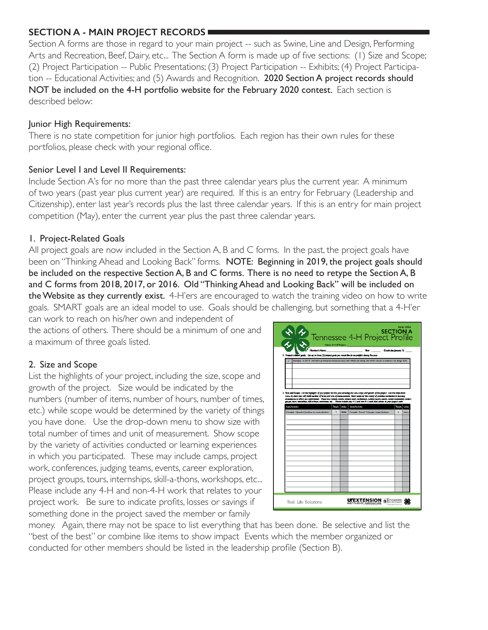#### **SECTION A - MAIN PROJECT RECORDS**

Section A forms are those in regard to your main project -- such as Swine, Line and Design, Performing Arts and Recreation, Beef, Dairy, etc... The Section A form is made up of five sections: (1) Size and Scope; (2) Project Participation -- Public Presentations; (3) Project Participation -- Exhibits; (4) Project Participation -- Educational Activities; and (5) Awards and Recognition. 2020 Section A project records should NOT be included on the 4-H portfolio website for the February 2020 contest. Each section is described below:

#### Junior High Requirements:

There is no state competition for junior high portfolios. Each region has their own rules for these portfolios, please check with your regional office.

#### Senior Level I and Level II Requirements:

Include Section A's for no more than the past three calendar years plus the current year. A minimum of two years (past year plus current year) are required. If this is an entry for February (Leadership and Citizenship), enter last year's records plus the last three calendar years. If this is an entry for main project competition (May), enter the current year plus the past three calendar years.

## 1. Project-Related Goals

All project goals are now included in the Section A, B and C forms. In the past, the project goals have been on "Thinking Ahead and Looking Back" forms. NOTE: Beginning in 2019, the project goals should be included on the respective Section A, B and C forms. There is no need to retype the Section A, B and C forms from 2018, 2017, or 2016. Old "Thinking Ahead and Looking Back" will be included on the Website as they currently exist. 4-H'ers are encouraged to watch the training video on how to write goals. SMART goals are an ideal model to use. Goals should be challenging, but something that a 4-H'er

can work to reach on his/her own and independent of the actions of others. There should be a minimum of one and a maximum of three goals listed.

## 2. Size and Scope

List the highlights of your project, including the size, scope and growth of the project. Size would be indicated by the numbers (number of items, number of hours, number of times, etc.) while scope would be determined by the variety of things you have done. Use the drop-down menu to show size with total number of times and unit of measurement. Show scope by the variety of activities conducted or learning experiences in which you participated. These may include camps, project work, conferences, judging teams, events, career exploration, project groups, tours, internships, skill-a-thons, workshops, etc... Please include any 4-H and non-4-H work that relates to your project work. Be sure to indicate profits, losses or savings if something done in the project saved the member or family



money. Again, there may not be space to list everything that has been done. Be selective and list the "best of the best" or combine like items to show impact Events which the member organized or conducted for other members should be listed in the leadership profile (Section B).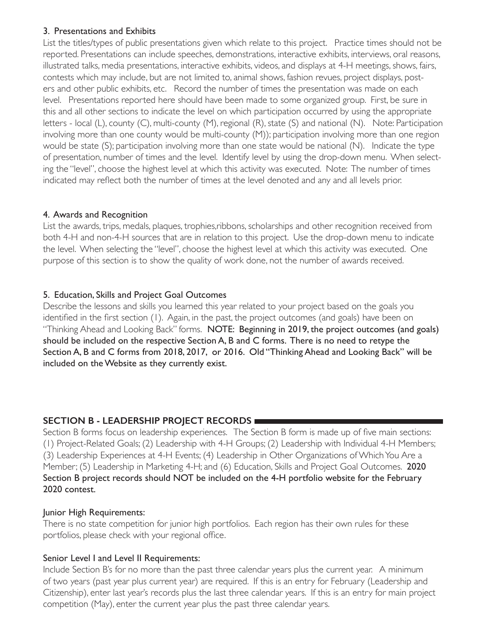#### 3. Presentations and Exhibits

List the titles/types of public presentations given which relate to this project. Practice times should not be reported. Presentations can include speeches, demonstrations, interactive exhibits, interviews, oral reasons, illustrated talks, media presentations, interactive exhibits, videos, and displays at 4-H meetings, shows, fairs, contests which may include, but are not limited to, animal shows, fashion revues, project displays, posters and other public exhibits, etc. Record the number of times the presentation was made on each level. Presentations reported here should have been made to some organized group. First, be sure in this and all other sections to indicate the level on which participation occurred by using the appropriate letters - local (L), county (C), multi-county (M), regional (R), state (S) and national (N). Note: Participation involving more than one county would be multi-county (M)); participation involving more than one region would be state (S); participation involving more than one state would be national (N). Indicate the type of presentation, number of times and the level. Identify level by using the drop-down menu. When selecting the "level", choose the highest level at which this activity was executed. Note: The number of times indicated may reflect both the number of times at the level denoted and any and all levels prior.

#### 4. Awards and Recognition

List the awards, trips, medals, plaques, trophies,ribbons, scholarships and other recognition received from both 4-H and non-4-H sources that are in relation to this project. Use the drop-down menu to indicate the level. When selecting the "level", choose the highest level at which this activity was executed. One purpose of this section is to show the quality of work done, not the number of awards received.

## 5. Education, Skills and Project Goal Outcomes

Describe the lessons and skills you learned this year related to your project based on the goals you identified in the first section (1). Again, in the past, the project outcomes (and goals) have been on "Thinking Ahead and Looking Back" forms. NOTE: Beginning in 2019, the project outcomes (and goals) should be included on the respective Section A, B and C forms. There is no need to retype the Section A, B and C forms from 2018, 2017, or 2016. Old "Thinking Ahead and Looking Back" will be included on the Website as they currently exist.

## **SECTION B - LEADERSHIP PROJECT RECORDS**

Section B forms focus on leadership experiences. The Section B form is made up of five main sections: (1) Project-Related Goals; (2) Leadership with 4-H Groups; (2) Leadership with Individual 4-H Members; (3) Leadership Experiences at 4-H Events; (4) Leadership in Other Organizations of Which You Are a Member; (5) Leadership in Marketing 4-H; and (6) Education, Skills and Project Goal Outcomes. 2020 Section B project records should NOT be included on the 4-H portfolio website for the February 2020 contest.

#### Junior High Requirements:

There is no state competition for junior high portfolios. Each region has their own rules for these portfolios, please check with your regional office.

## Senior Level I and Level II Requirements:

Include Section B's for no more than the past three calendar years plus the current year. A minimum of two years (past year plus current year) are required. If this is an entry for February (Leadership and Citizenship), enter last year's records plus the last three calendar years. If this is an entry for main project competition (May), enter the current year plus the past three calendar years.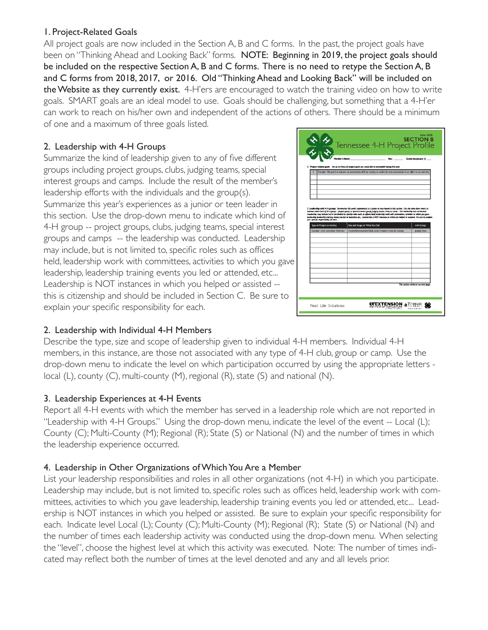#### 1. Project-Related Goals

All project goals are now included in the Section A, B and C forms. In the past, the project goals have been on "Thinking Ahead and Looking Back" forms. NOTE: Beginning in 2019, the project goals should be included on the respective Section A, B and C forms. There is no need to retype the Section A, B and C forms from 2018, 2017, or 2016. Old "Thinking Ahead and Looking Back" will be included on the Website as they currently exist. 4-H'ers are encouraged to watch the training video on how to write goals. SMART goals are an ideal model to use. Goals should be challenging, but something that a 4-H'er can work to reach on his/her own and independent of the actions of others. There should be a minimum of one and a maximum of three goals listed.

#### 2. Leadership with 4-H Groups

Summarize the kind of leadership given to any of five different groups including project groups, clubs, judging teams, special interest groups and camps. Include the result of the member's leadership efforts with the individuals and the group(s). Summarize this year's experiences as a junior or teen leader in this section. Use the drop-down menu to indicate which kind of 4-H group -- project groups, clubs, judging teams, special interest groups and camps -- the leadership was conducted. Leadership may include, but is not limited to, specific roles such as offices held, leadership work with committees, activities to which you gave leadership, leadership training events you led or attended, etc... Leadership is NOT instances in which you helped or assisted - this is citizenship and should be included in Section C. Be sure to explain your specific responsibility for each.

|                                                                               | Year: Cracle (on Jonany 1):                                                                                                                                                                                                                                                                                                                                                                                                                                                                                                                                                                    |              |
|-------------------------------------------------------------------------------|------------------------------------------------------------------------------------------------------------------------------------------------------------------------------------------------------------------------------------------------------------------------------------------------------------------------------------------------------------------------------------------------------------------------------------------------------------------------------------------------------------------------------------------------------------------------------------------------|--------------|
|                                                                               | 1. Project-related goals: List up to three (3) project goals you would like to commplet during this year.                                                                                                                                                                                                                                                                                                                                                                                                                                                                                      |              |
|                                                                               | Example: My goal is to improve my presentation skills by creating an outline for each presentation in an effort to use note less.                                                                                                                                                                                                                                                                                                                                                                                                                                                              |              |
|                                                                               |                                                                                                                                                                                                                                                                                                                                                                                                                                                                                                                                                                                                |              |
|                                                                               |                                                                                                                                                                                                                                                                                                                                                                                                                                                                                                                                                                                                |              |
|                                                                               |                                                                                                                                                                                                                                                                                                                                                                                                                                                                                                                                                                                                |              |
|                                                                               |                                                                                                                                                                                                                                                                                                                                                                                                                                                                                                                                                                                                |              |
|                                                                               | 2. Leadership with 4-H groups: Summarize this year's experiences as a junior or tean leader in this section. One the drop-down ment to<br>indicate which kind of 41-1 group -- project group or special interest group; judging teams; chán; or camp -- the leadership was conducted<br>Leadership may include, but is not finited to, specific roles such as offices held, leadership work with committees, activities to which you gone.<br>leadership, leadership training events you led ar attended etc., Leadership is NGT instances in which you helped or assisted. Be sure to explain |              |
| your specific responsibility for excit-<br><b>Type of Project or Activity</b> | Size and Scope of What You Did                                                                                                                                                                                                                                                                                                                                                                                                                                                                                                                                                                 | 4-H Group    |
| Examble: Card Committee Chairman                                              | Created/Demonstrated flash cards (4 topics/4 sets) for training                                                                                                                                                                                                                                                                                                                                                                                                                                                                                                                                | Judging Team |
|                                                                               |                                                                                                                                                                                                                                                                                                                                                                                                                                                                                                                                                                                                |              |
|                                                                               |                                                                                                                                                                                                                                                                                                                                                                                                                                                                                                                                                                                                |              |
|                                                                               |                                                                                                                                                                                                                                                                                                                                                                                                                                                                                                                                                                                                |              |
|                                                                               |                                                                                                                                                                                                                                                                                                                                                                                                                                                                                                                                                                                                |              |
|                                                                               |                                                                                                                                                                                                                                                                                                                                                                                                                                                                                                                                                                                                |              |
|                                                                               |                                                                                                                                                                                                                                                                                                                                                                                                                                                                                                                                                                                                |              |

## 2. Leadership with Individual 4-H Members

Describe the type, size and scope of leadership given to individual 4-H members. Individual 4-H members, in this instance, are those not associated with any type of 4-H club, group or camp. Use the drop-down menu to indicate the level on which participation occurred by using the appropriate letters local (L), county (C), multi-county (M), regional (R), state (S) and national (N).

## 3. Leadership Experiences at 4-H Events

Report all 4-H events with which the member has served in a leadership role which are not reported in "Leadership with 4-H Groups." Using the drop-down menu, indicate the level of the event -- Local (L); County (C); Multi-County (M); Regional (R); State (S) or National (N) and the number of times in which the leadership experience occurred.

## 4. Leadership in Other Organizations of Which You Are a Member

List your leadership responsibilities and roles in all other organizations (not 4-H) in which you participate. Leadership may include, but is not limited to, specific roles such as offices held, leadership work with committees, activities to which you gave leadership, leadership training events you led or attended, etc... Leadership is NOT instances in which you helped or assisted. Be sure to explain your specific responsibility for each. Indicate level Local (L); County (C); Multi-County (M); Regional (R); State (S) or National (N) and the number of times each leadership activity was conducted using the drop-down menu. When selecting the "level", choose the highest level at which this activity was executed. Note: The number of times indicated may reflect both the number of times at the level denoted and any and all levels prior.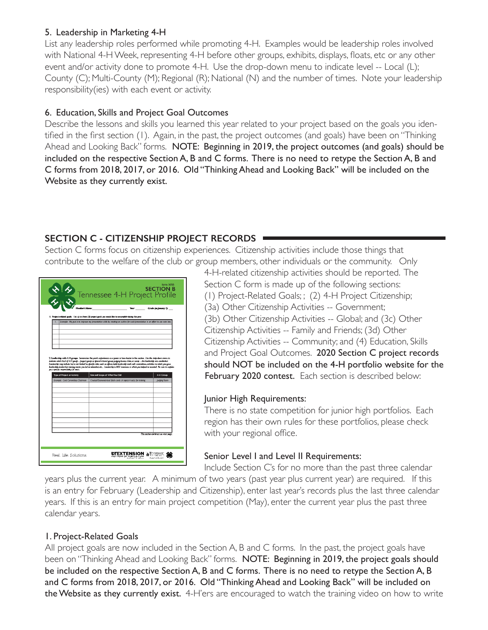#### 5. Leadership in Marketing 4-H

List any leadership roles performed while promoting 4-H. Examples would be leadership roles involved with National 4-H Week, representing 4-H before other groups, exhibits, displays, floats, etc or any other event and/or activity done to promote 4-H. Use the drop-down menu to indicate level -- Local (L); County (C); Multi-County (M); Regional (R); National (N) and the number of times. Note your leadership responsibility(ies) with each event or activity.

## 6. Education, Skills and Project Goal Outcomes

Describe the lessons and skills you learned this year related to your project based on the goals you identified in the first section (1). Again, in the past, the project outcomes (and goals) have been on "Thinking Ahead and Looking Back" forms. NOTE: Beginning in 2019, the project outcomes (and goals) should be included on the respective Section A, B and C forms. There is no need to retype the Section A, B and C forms from 2018, 2017, or 2016. Old "Thinking Ahead and Looking Back" will be included on the Website as they currently exist.

## **SECTION C - CITIZENSHIP PROJECT RECORDS**

Section C forms focus on citizenship experiences. Citizenship activities include those things that contribute to the welfare of the club or group members, other individuals or the community. Only

| $\frac{1}{2}$                                                          | SECTION B<br>Tennessee 4-H Project Profile                                                                                                                                                                                                                                                                                                                                                                                                        | form 305B                            |
|------------------------------------------------------------------------|---------------------------------------------------------------------------------------------------------------------------------------------------------------------------------------------------------------------------------------------------------------------------------------------------------------------------------------------------------------------------------------------------------------------------------------------------|--------------------------------------|
|                                                                        | 1. Project-related goals: List up to three (3) project goals you would like to accomplish during this year.                                                                                                                                                                                                                                                                                                                                       | Year: Grade (on January 1): __       |
|                                                                        | Example: My goal is to improve my presentation skills by creating an outline for each presentation in an effort to use note less.                                                                                                                                                                                                                                                                                                                 |                                      |
|                                                                        |                                                                                                                                                                                                                                                                                                                                                                                                                                                   |                                      |
|                                                                        | 2. Leadership with 4-H groups. Summarize this year's experiences as a junior or teen teader in this section. Use the drop-down menu to                                                                                                                                                                                                                                                                                                            |                                      |
| your specific responsibility for each.                                 | indicate which hind of 4-H group - project group or special interest group; judging teams; chairs or camp - the leadership was conducted.<br>Leadership may include, but is not finited to, specific roles such as offices haid, leadership work with committees, activities to which you gone.<br>leadership, leadership training events you led or attended etc Leadership is NCT instances in which you helped or assisted. Be sure to explain |                                      |
| <b>Type of Project or Activity</b><br>Examble: Card Committee Chairman | Size and Scope of What You Did<br>Created/Demonstrated flash cards (4 topics/4 sets) for training                                                                                                                                                                                                                                                                                                                                                 | 4-H Group<br>Judging Tecm            |
|                                                                        |                                                                                                                                                                                                                                                                                                                                                                                                                                                   |                                      |
|                                                                        |                                                                                                                                                                                                                                                                                                                                                                                                                                                   |                                      |
|                                                                        |                                                                                                                                                                                                                                                                                                                                                                                                                                                   |                                      |
|                                                                        |                                                                                                                                                                                                                                                                                                                                                                                                                                                   |                                      |
|                                                                        |                                                                                                                                                                                                                                                                                                                                                                                                                                                   |                                      |
|                                                                        |                                                                                                                                                                                                                                                                                                                                                                                                                                                   |                                      |
|                                                                        |                                                                                                                                                                                                                                                                                                                                                                                                                                                   |                                      |
|                                                                        |                                                                                                                                                                                                                                                                                                                                                                                                                                                   |                                      |
|                                                                        |                                                                                                                                                                                                                                                                                                                                                                                                                                                   |                                      |
|                                                                        |                                                                                                                                                                                                                                                                                                                                                                                                                                                   | This section continues on rest page. |

 4-H-related citizenship activities should be reported. The Section C form is made up of the following sections: (1) Project-Related Goals; ; (2) 4-H Project Citizenship; (3a) Other Citizenship Activities -- Government; (3b) Other Citizenship Activities -- Global; and (3c) Other Citizenship Activities -- Family and Friends; (3d) Other Citizenship Activities -- Community; and (4) Education, Skills and Project Goal Outcomes. 2020 Section C project records should NOT be included on the 4-H portfolio website for the February 2020 contest. Each section is described below:

#### Junior High Requirements:

 There is no state competition for junior high portfolios. Each region has their own rules for these portfolios, please check with your regional office.

## Senior Level I and Level II Requirements:

 Include Section C's for no more than the past three calendar years plus the current year. A minimum of two years (past year plus current year) are required. If this is an entry for February (Leadership and Citizenship), enter last year's records plus the last three calendar years. If this is an entry for main project competition (May), enter the current year plus the past three calendar years.

## 1. Project-Related Goals

All project goals are now included in the Section A, B and C forms. In the past, the project goals have been on "Thinking Ahead and Looking Back" forms. NOTE: Beginning in 2019, the project goals should be included on the respective Section A, B and C forms. There is no need to retype the Section A, B and C forms from 2018, 2017, or 2016. Old "Thinking Ahead and Looking Back" will be included on the Website as they currently exist. 4-H'ers are encouraged to watch the training video on how to write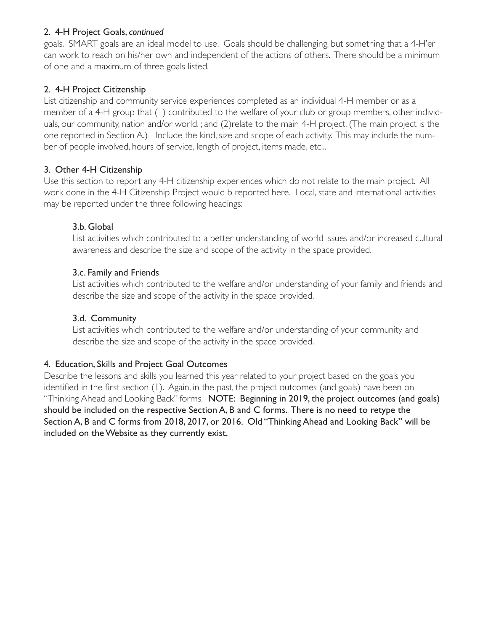#### 2. 4-H Project Goals, *continued*

goals. SMART goals are an ideal model to use. Goals should be challenging, but something that a 4-H'er can work to reach on his/her own and independent of the actions of others. There should be a minimum of one and a maximum of three goals listed.

## 2. 4-H Project Citizenship

List citizenship and community service experiences completed as an individual 4-H member or as a member of a 4-H group that (1) contributed to the welfare of your club or group members, other individuals, our community, nation and/or world. ; and (2)relate to the main 4-H project. (The main project is the one reported in Section A.) Include the kind, size and scope of each activity. This may include the number of people involved, hours of service, length of project, items made, etc...

## 3. Other 4-H Citizenship

Use this section to report any 4-H citizenship experiences which do not relate to the main project. All work done in the 4-H Citizenship Project would b reported here. Local, state and international activities may be reported under the three following headings:

## 3.b. Global

List activities which contributed to a better understanding of world issues and/or increased cultural awareness and describe the size and scope of the activity in the space provided.

## 3.c. Family and Friends

List activities which contributed to the welfare and/or understanding of your family and friends and describe the size and scope of the activity in the space provided.

## 3.d. Community

List activities which contributed to the welfare and/or understanding of your community and describe the size and scope of the activity in the space provided.

## 4. Education, Skills and Project Goal Outcomes

Describe the lessons and skills you learned this year related to your project based on the goals you identified in the first section (1). Again, in the past, the project outcomes (and goals) have been on "Thinking Ahead and Looking Back" forms. NOTE: Beginning in 2019, the project outcomes (and goals) should be included on the respective Section A, B and C forms. There is no need to retype the Section A, B and C forms from 2018, 2017, or 2016. Old "Thinking Ahead and Looking Back" will be included on the Website as they currently exist.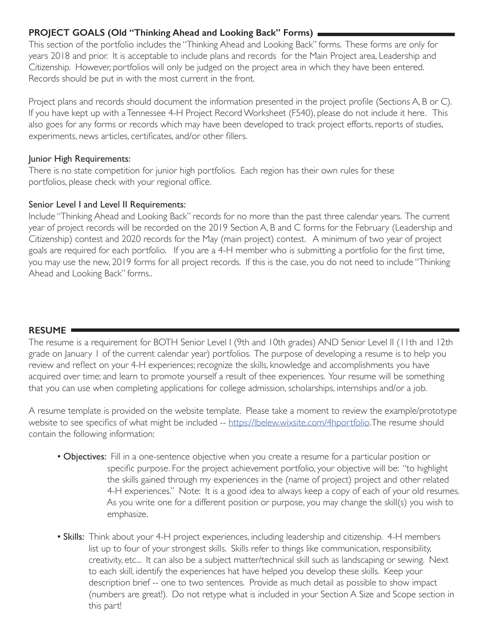#### **PROJECT GOALS (Old "Thinking Ahead and Looking Back" Forms)**

This section of the portfolio includes the "Thinking Ahead and Looking Back" forms. These forms are only for years 2018 and prior. It is acceptable to include plans and records for the Main Project area, Leadership and Citizenship. However, portfolios will only be judged on the project area in which they have been entered. Records should be put in with the most current in the front.

Project plans and records should document the information presented in the project profile (Sections A, B or C). If you have kept up with a Tennessee 4-H Project Record Worksheet (F540), please do not include it here. This also goes for any forms or records which may have been developed to track project efforts, reports of studies, experiments, news articles, certificates, and/or other fillers.

#### Junior High Requirements:

There is no state competition for junior high portfolios. Each region has their own rules for these portfolios, please check with your regional office.

#### Senior Level I and Level II Requirements:

Include "Thinking Ahead and Looking Back" records for no more than the past three calendar years. The current year of project records will be recorded on the 2019 Section A, B and C forms for the February (Leadership and Citizenship) contest and 2020 records for the May (main project) contest. A minimum of two year of project goals are required for each portfolio. If you are a 4-H member who is submitting a portfolio for the first time, you may use the new, 2019 forms for all project records. If this is the case, you do not need to include "Thinking Ahead and Looking Back" forms..

#### **RESUME**

The resume is a requirement for BOTH Senior Level I (9th and 10th grades) AND Senior Level II (11th and 12th grade on January 1 of the current calendar year) portfolios. The purpose of developing a resume is to help you review and reflect on your 4-H experiences; recognize the skills, knowledge and accomplishments you have acquired over time; and learn to promote yourself a result of thee experiences. Your resume will be something that you can use when completing applications for college admission, scholarships, internships and/or a job.

A resume template is provided on the website template. Please take a moment to review the example/prototype website to see specifics of what might be included -- https://lbelew.wixsite.com/4hportfolio. The resume should contain the following information:

- Objectives: Fill in a one-sentence objective when you create a resume for a particular position or specific purpose. For the project achievement portfolio, your objective will be: "to highlight the skills gained through my experiences in the (name of project) project and other related 4-H experiences." Note: It is a good idea to always keep a copy of each of your old resumes. As you write one for a different position or purpose, you may change the skill(s) you wish to emphasize.
- Skills: Think about your 4-H project experiences, including leadership and citizenship. 4-H members list up to four of your strongest skills. Skills refer to things like communication, responsibility, creativity, etc... It can also be a subject matter/technical skill such as landscaping or sewing. Next to each skill, identify the experiences hat have helped you develop these skills. Keep your description brief -- one to two sentences. Provide as much detail as possible to show impact (numbers are great!). Do not retype what is included in your Section A Size and Scope section in this part!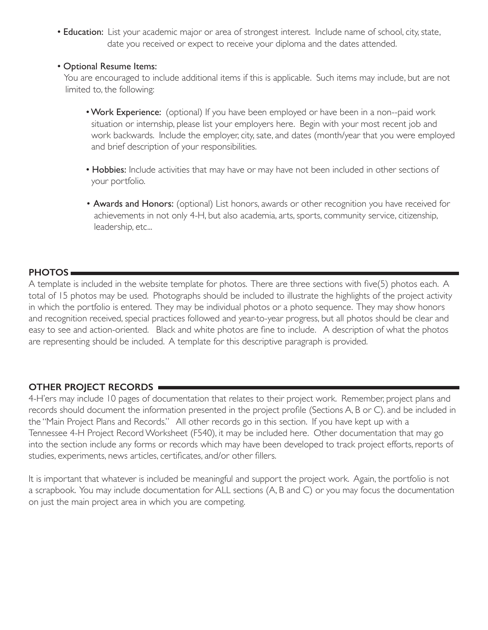• Education: List your academic major or area of strongest interest. Include name of school, city, state, date you received or expect to receive your diploma and the dates attended.

#### • Optional Resume Items:

You are encouraged to include additional items if this is applicable. Such items may include, but are not limited to, the following:

- Work Experience: (optional) If you have been employed or have been in a non--paid work situation or internship, please list your employers here. Begin with your most recent job and work backwards. Include the employer, city, sate, and dates (month/year that you were employed and brief description of your responsibilities.
- Hobbies: Include activities that may have or may have not been included in other sections of your portfolio.
- Awards and Honors: (optional) List honors, awards or other recognition you have received for achievements in not only 4-H, but also academia, arts, sports, community service, citizenship, leadership, etc...

#### **PHOTOS**

A template is included in the website template for photos. There are three sections with five(5) photos each. A total of 15 photos may be used. Photographs should be included to illustrate the highlights of the project activity in which the portfolio is entered. They may be individual photos or a photo sequence. They may show honors and recognition received, special practices followed and year-to-year progress, but all photos should be clear and easy to see and action-oriented. Black and white photos are fine to include. A description of what the photos are representing should be included. A template for this descriptive paragraph is provided.

## **OTHER PROJECT RECORDS**

4-H'ers may include 10 pages of documentation that relates to their project work. Remember, project plans and records should document the information presented in the project profile (Sections A, B or C). and be included in the "Main Project Plans and Records." All other records go in this section. If you have kept up with a Tennessee 4-H Project Record Worksheet (F540), it may be included here. Other documentation that may go into the section include any forms or records which may have been developed to track project efforts, reports of studies, experiments, news articles, certificates, and/or other fillers.

It is important that whatever is included be meaningful and support the project work. Again, the portfolio is not a scrapbook. You may include documentation for ALL sections (A, B and C) or you may focus the documentation on just the main project area in which you are competing.